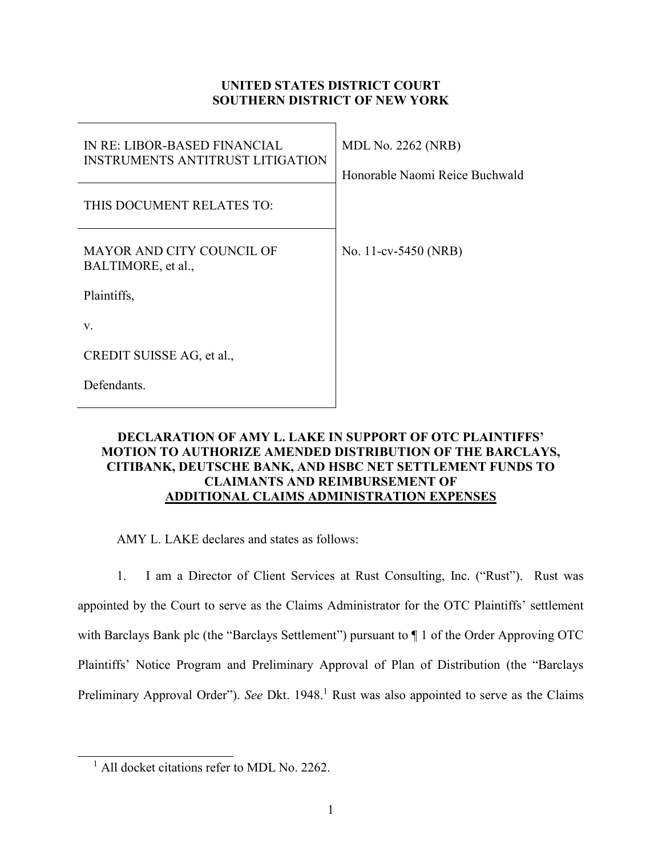## **UNITED STATES DISTRICT COURT SOUTHERN DISTRICT OF NEW YORK**

| <b>IN RE: LIBOR-BASED FINANCIAL</b><br><b>INSTRUMENTS ANTITRUST LITIGATION</b> | <b>MDL No. 2262 (NRB)</b><br>Honorable Naomi Reice Buchwald |
|--------------------------------------------------------------------------------|-------------------------------------------------------------|
| THIS DOCUMENT RELATES TO:                                                      |                                                             |
| MAYOR AND CITY COUNCIL OF<br>BALTIMORE, et al.,                                | No. 11-cv-5450 (NRB)                                        |
| Plaintiffs,                                                                    |                                                             |
| V.                                                                             |                                                             |
| CREDIT SUISSE AG, et al.,                                                      |                                                             |
| Defendants.                                                                    |                                                             |

## **DECLARATION OF AMY L. LAKE IN SUPPORT OF OTC PLAINTIFFS' MOTION TO AUTHORIZE AMENDED DISTRIBUTION OF THE BARCLAYS, CITIBANK, DEUTSCHE BANK, AND HSBC NET SETTLEMENT FUNDS TO CLAIMANTS AND REIMBURSEMENT OF ADDITIONAL CLAIMS ADMINISTRATION EXPENSES**

AMY L. LAKE declares and states as follows:

1. I am a Director of Client Services at Rust Consulting, Inc. ("Rust"). Rust was appointed by the Court to serve as the Claims Administrator for the OTC Plaintiffs' settlement with Barclays Bank plc (the "Barclays Settlement") pursuant to ¶ 1 of the Order Approving OTC Plaintiffs' Notice Program and Preliminary Approval of Plan of Distribution (the "Barclays Preliminary Approval Order"). See Dkt. 1948.<sup>1</sup> Rust was also appointed to serve as the Claims

-

<sup>&</sup>lt;sup>1</sup> All docket citations refer to MDL No. 2262.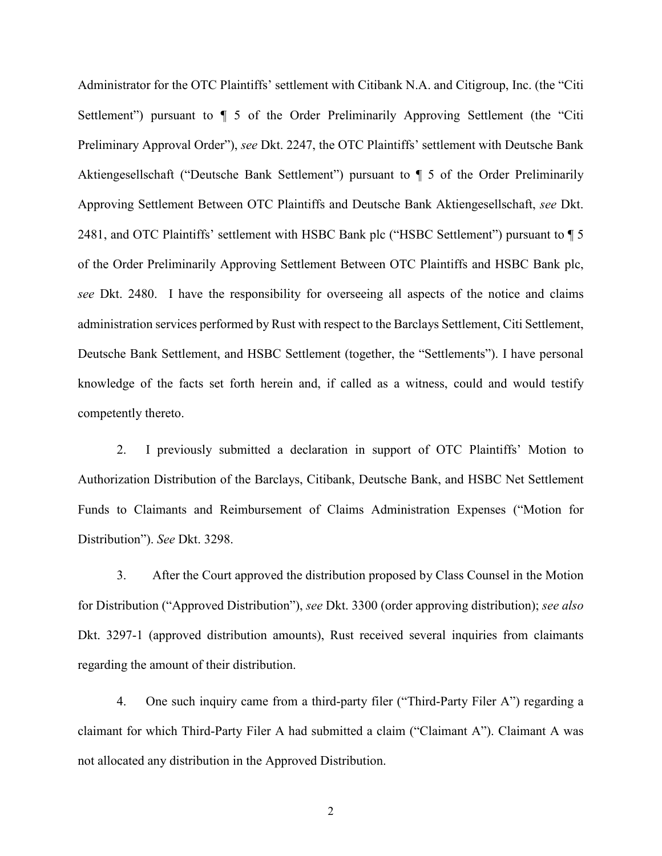Administrator for the OTC Plaintiffs' settlement with Citibank N.A. and Citigroup, Inc. (the "Citi Settlement") pursuant to  $\P$  5 of the Order Preliminarily Approving Settlement (the "Citi Preliminary Approval Order"), *see* Dkt. 2247, the OTC Plaintiffs' settlement with Deutsche Bank Aktiengesellschaft ("Deutsche Bank Settlement") pursuant to ¶ 5 of the Order Preliminarily Approving Settlement Between OTC Plaintiffs and Deutsche Bank Aktiengesellschaft, *see* Dkt. 2481, and OTC Plaintiffs' settlement with HSBC Bank plc ("HSBC Settlement") pursuant to  $\P$  5 of the Order Preliminarily Approving Settlement Between OTC Plaintiffs and HSBC Bank plc, *see* Dkt. 2480. I have the responsibility for overseeing all aspects of the notice and claims administration services performed by Rust with respect to the Barclays Settlement, Citi Settlement, Deutsche Bank Settlement, and HSBC Settlement (together, the "Settlements"). I have personal knowledge of the facts set forth herein and, if called as a witness, could and would testify competently thereto.

2. I previously submitted a declaration in support of OTC Plaintiffs' Motion to Authorization Distribution of the Barclays, Citibank, Deutsche Bank, and HSBC Net Settlement Funds to Claimants and Reimbursement of Claims Administration Expenses ("Motion for Distribution"). *See* Dkt. 3298.

3. After the Court approved the distribution proposed by Class Counsel in the Motion for Distribution ("Approved Distribution"), *see* Dkt. 3300 (order approving distribution); *see also*  Dkt. 3297-1 (approved distribution amounts), Rust received several inquiries from claimants regarding the amount of their distribution.

4. One such inquiry came from a third-party filer ("Third-Party Filer A") regarding a claimant for which Third-Party Filer A had submitted a claim ("Claimant A"). Claimant A was not allocated any distribution in the Approved Distribution.

2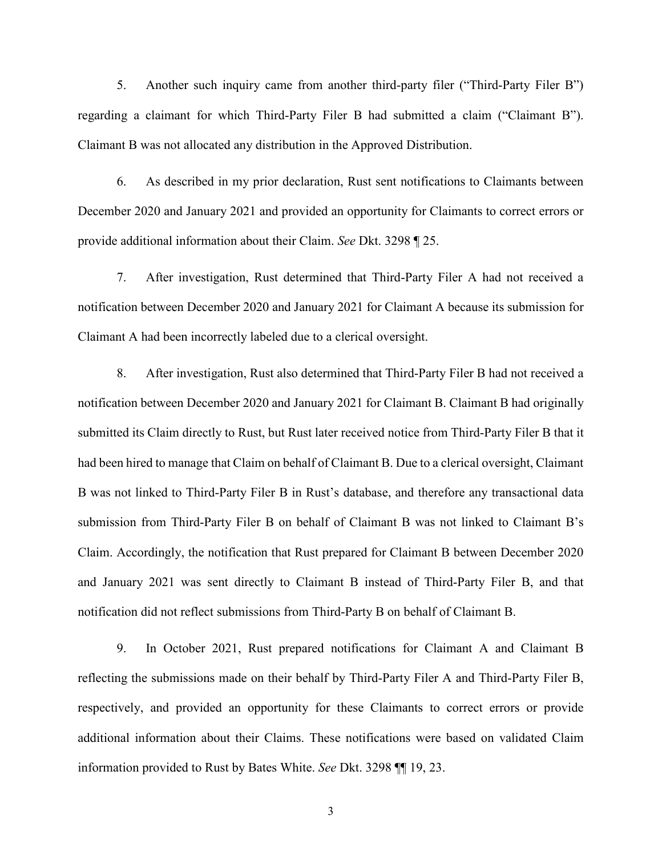5. Another such inquiry came from another third-party filer ("Third-Party Filer B") regarding a claimant for which Third-Party Filer B had submitted a claim ("Claimant B"). Claimant B was not allocated any distribution in the Approved Distribution.

6. As described in my prior declaration, Rust sent notifications to Claimants between December 2020 and January 2021 and provided an opportunity for Claimants to correct errors or provide additional information about their Claim. *See* Dkt. 3298 ¶ 25.

7. After investigation, Rust determined that Third-Party Filer A had not received a notification between December 2020 and January 2021 for Claimant A because its submission for Claimant A had been incorrectly labeled due to a clerical oversight.

8. After investigation, Rust also determined that Third-Party Filer B had not received a notification between December 2020 and January 2021 for Claimant B. Claimant B had originally submitted its Claim directly to Rust, but Rust later received notice from Third-Party Filer B that it had been hired to manage that Claim on behalf of Claimant B. Due to a clerical oversight, Claimant B was not linked to Third-Party Filer B in Rust's database, and therefore any transactional data submission from Third-Party Filer B on behalf of Claimant B was not linked to Claimant B's Claim. Accordingly, the notification that Rust prepared for Claimant B between December 2020 and January 2021 was sent directly to Claimant B instead of Third-Party Filer B, and that notification did not reflect submissions from Third-Party B on behalf of Claimant B.

9. In October 2021, Rust prepared notifications for Claimant A and Claimant B reflecting the submissions made on their behalf by Third-Party Filer A and Third-Party Filer B, respectively, and provided an opportunity for these Claimants to correct errors or provide additional information about their Claims. These notifications were based on validated Claim information provided to Rust by Bates White. *See* Dkt. 3298 ¶¶ 19, 23.

3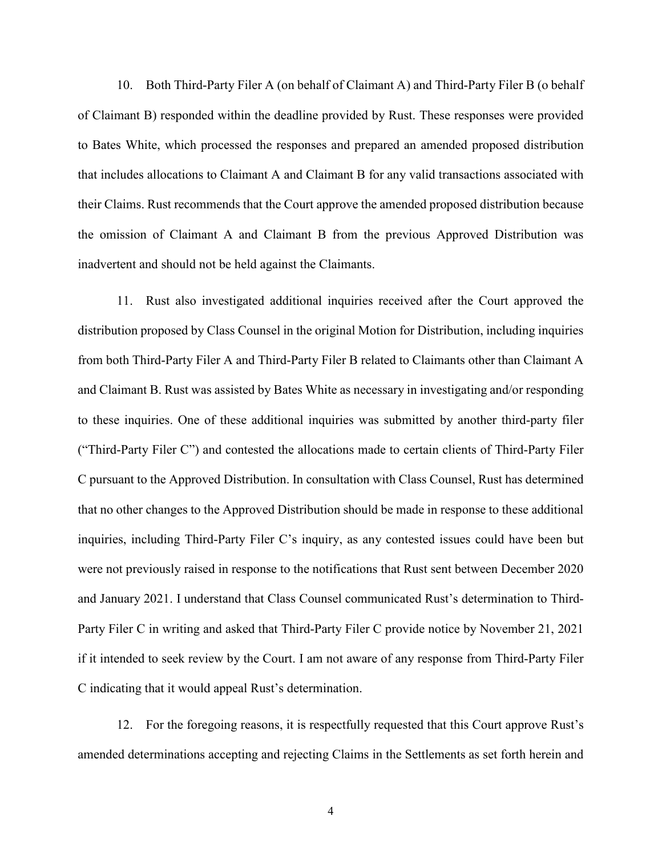10. Both Third-Party Filer A (on behalf of Claimant A) and Third-Party Filer B (o behalf of Claimant B) responded within the deadline provided by Rust. These responses were provided to Bates White, which processed the responses and prepared an amended proposed distribution that includes allocations to Claimant A and Claimant B for any valid transactions associated with their Claims. Rust recommends that the Court approve the amended proposed distribution because the omission of Claimant A and Claimant B from the previous Approved Distribution was inadvertent and should not be held against the Claimants.

11. Rust also investigated additional inquiries received after the Court approved the distribution proposed by Class Counsel in the original Motion for Distribution, including inquiries from both Third-Party Filer A and Third-Party Filer B related to Claimants other than Claimant A and Claimant B. Rust was assisted by Bates White as necessary in investigating and/or responding to these inquiries. One of these additional inquiries was submitted by another third-party filer ("Third-Party Filer C") and contested the allocations made to certain clients of Third-Party Filer C pursuant to the Approved Distribution. In consultation with Class Counsel, Rust has determined that no other changes to the Approved Distribution should be made in response to these additional inquiries, including Third-Party Filer C's inquiry, as any contested issues could have been but were not previously raised in response to the notifications that Rust sent between December 2020 and January 2021. I understand that Class Counsel communicated Rust's determination to Third-Party Filer C in writing and asked that Third-Party Filer C provide notice by November 21, 2021 if it intended to seek review by the Court. I am not aware of any response from Third-Party Filer C indicating that it would appeal Rust's determination.

12. For the foregoing reasons, it is respectfully requested that this Court approve Rust's amended determinations accepting and rejecting Claims in the Settlements as set forth herein and

4